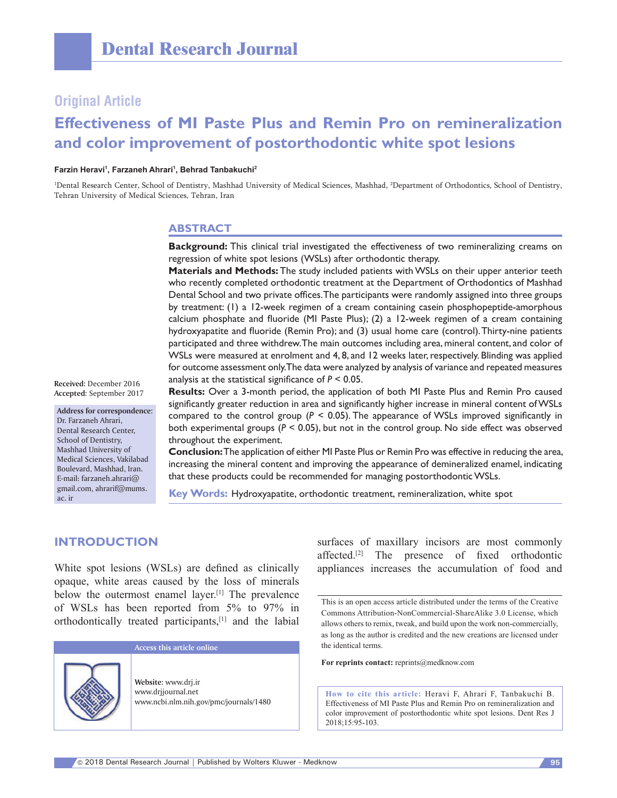## **Original Article**

# **Effectiveness of MI Paste Plus and Remin Pro on remineralization and color improvement of postorthodontic white spot lesions**

#### **Farzin Heravi1 , Farzaneh Ahrari1 , Behrad Tanbakuchi2**

<sup>1</sup>Dental Research Center, School of Dentistry, Mashhad University of Medical Sciences, Mashhad, <sup>2</sup>Department of Orthodontics, School of Dentistry, Tehran University of Medical Sciences, Tehran, Iran

#### **ABSTRACT**

**Background:** This clinical trial investigated the effectiveness of two remineralizing creams on regression of white spot lesions (WSLs) after orthodontic therapy.

**Materials and Methods:** The study included patients with WSLs on their upper anterior teeth who recently completed orthodontic treatment at the Department of Orthodontics of Mashhad Dental School and two private offices. The participants were randomly assigned into three groups by treatment: (1) a 12-week regimen of a cream containing casein phosphopeptide-amorphous calcium phosphate and fluoride (MI Paste Plus); (2) a 12‑week regimen of a cream containing hydroxyapatite and fluoride (Remin Pro); and (3) usual home care (control). Thirty-nine patients participated and three withdrew. The main outcomes including area, mineral content, and color of WSLs were measured at enrolment and 4, 8, and 12 weeks later, respectively. Blinding was applied for outcome assessment only. The data were analyzed by analysis of variance and repeated measures analysis at the statistical significance of *P* < 0.05.

**Received:** December 2016 **Accepted:** September 2017

**Address for correspondence:** Dr. Farzaneh Ahrari, Dental Research Center, School of Dentistry, Mashhad University of Medical Sciences, Vakilabad Boulevard, Mashhad, Iran. E‑mail: farzaneh.ahrari@ gmail.com, ahrarif@mums. ac. ir

**Results:** Over a 3‑month period, the application of both MI Paste Plus and Remin Pro caused significantly greater reduction in area and significantly higher increase in mineral content of WSLs compared to the control group ( $P < 0.05$ ). The appearance of WSLs improved significantly in both experimental groups (*P* < 0.05), but not in the control group. No side effect was observed throughout the experiment.

**Conclusion:** The application of either MI Paste Plus or Remin Pro was effective in reducing the area, increasing the mineral content and improving the appearance of demineralized enamel, indicating that these products could be recommended for managing postorthodontic WSLs.

**Key Words:** Hydroxyapatite, orthodontic treatment, remineralization, white spot

#### **INTRODUCTION**

White spot lesions (WSLs) are defined as clinically opaque, white areas caused by the loss of minerals below the outermost enamel layer.[1] The prevalence of WSLs has been reported from 5% to 97% in orthodontically treated participants,[1] and the labial



surfaces of maxillary incisors are most commonly affected.[2] The presence of fixed orthodontic appliances increases the accumulation of food and

For reprints contact: reprints@medknow.com

**How to cite this article:** Heravi F, Ahrari F, Tanbakuchi B. Effectiveness of MI Paste Plus and Remin Pro on remineralization and color improvement of postorthodontic white spot lesions. Dent Res J 2018;15:95-103.

This is an open access article distributed under the terms of the Creative Commons Attribution‑NonCommercial‑ShareAlike 3.0 License, which allows others to remix, tweak, and build upon the work non‑commercially, as long as the author is credited and the new creations are licensed under the identical terms.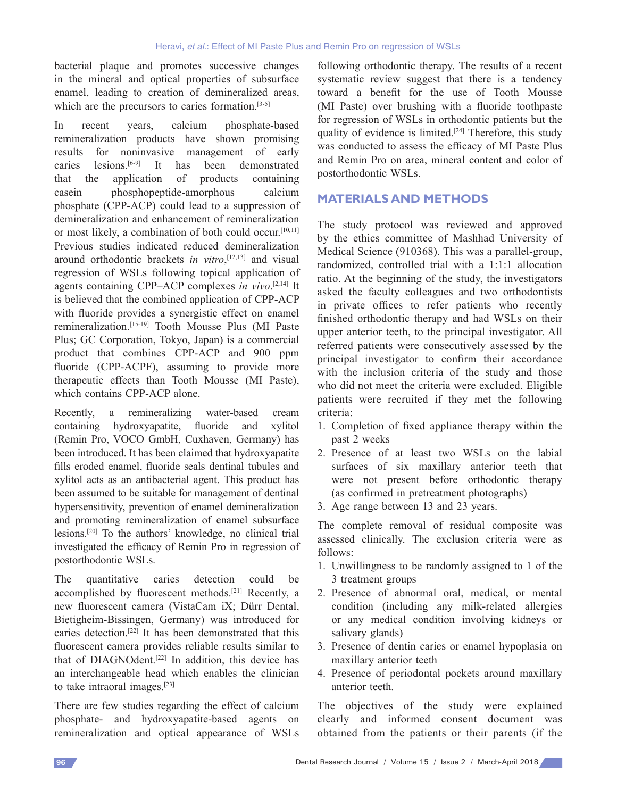bacterial plaque and promotes successive changes in the mineral and optical properties of subsurface enamel, leading to creation of demineralized areas, which are the precursors to caries formation.<sup>[3-5]</sup>

In recent years, calcium phosphate‑based remineralization products have shown promising results for noninvasive management of early caries lesions.[6‑9] It has been demonstrated that the application of products containing casein phosphopeptide‑amorphous calcium phosphate (CPP‑ACP) could lead to a suppression of demineralization and enhancement of remineralization or most likely, a combination of both could occur.[10,11] Previous studies indicated reduced demineralization around orthodontic brackets *in vitro*, [12,13] and visual regression of WSLs following topical application of agents containing CPP–ACP complexes *in vivo*. [2,14] It is believed that the combined application of CPP-ACP with fluoride provides a synergistic effect on enamel remineralization.[15‑19] Tooth Mousse Plus (MI Paste Plus; GC Corporation, Tokyo, Japan) is a commercial product that combines CPP‑ACP and 900 ppm fluoride (CPP-ACPF), assuming to provide more therapeutic effects than Tooth Mousse (MI Paste), which contains CPP-ACP alone.

Recently, a remineralizing water-based cream containing hydroxyapatite, fluoride and xylitol (Remin Pro, VOCO GmbH, Cuxhaven, Germany) has been introduced. It has been claimed that hydroxyapatite fills eroded enamel, fluoride seals dentinal tubules and xylitol acts as an antibacterial agent. This product has been assumed to be suitable for management of dentinal hypersensitivity, prevention of enamel demineralization and promoting remineralization of enamel subsurface lesions.[20] To the authors' knowledge, no clinical trial investigated the efficacy of Remin Pro in regression of postorthodontic WSLs.

The quantitative caries detection could be accomplished by fluorescent methods.[21] Recently, a new fluorescent camera (VistaCam iX; Dürr Dental, Bietigheim‑Bissingen, Germany) was introduced for caries detection.[22] It has been demonstrated that this fluorescent camera provides reliable results similar to that of DIAGNOdent.<sup>[22]</sup> In addition, this device has an interchangeable head which enables the clinician to take intraoral images.[23]

There are few studies regarding the effect of calcium phosphate‑ and hydroxyapatite‑based agents on remineralization and optical appearance of WSLs

following orthodontic therapy. The results of a recent systematic review suggest that there is a tendency toward a benefit for the use of Tooth Mousse (MI Paste) over brushing with a fluoride toothpaste for regression of WSLs in orthodontic patients but the quality of evidence is limited.<sup>[24]</sup> Therefore, this study was conducted to assess the efficacy of MI Paste Plus and Remin Pro on area, mineral content and color of postorthodontic WSLs.

## **MATERIALS AND METHODS**

The study protocol was reviewed and approved by the ethics committee of Mashhad University of Medical Science (910368). This was a parallel-group, randomized, controlled trial with a 1:1:1 allocation ratio. At the beginning of the study, the investigators asked the faculty colleagues and two orthodontists in private offices to refer patients who recently finished orthodontic therapy and had WSLs on their upper anterior teeth, to the principal investigator. All referred patients were consecutively assessed by the principal investigator to confirm their accordance with the inclusion criteria of the study and those who did not meet the criteria were excluded. Eligible patients were recruited if they met the following criteria:

- 1. Completion of fixed appliance therapy within the past 2 weeks
- 2. Presence of at least two WSLs on the labial surfaces of six maxillary anterior teeth that were not present before orthodontic therapy (as confirmed in pretreatment photographs)
- 3. Age range between 13 and 23 years.

The complete removal of residual composite was assessed clinically. The exclusion criteria were as follows:

- 1. Unwillingness to be randomly assigned to 1 of the 3 treatment groups
- 2. Presence of abnormal oral, medical, or mental condition (including any milk-related allergies or any medical condition involving kidneys or salivary glands)
- 3. Presence of dentin caries or enamel hypoplasia on maxillary anterior teeth
- 4. Presence of periodontal pockets around maxillary anterior teeth.

The objectives of the study were explained clearly and informed consent document was obtained from the patients or their parents (if the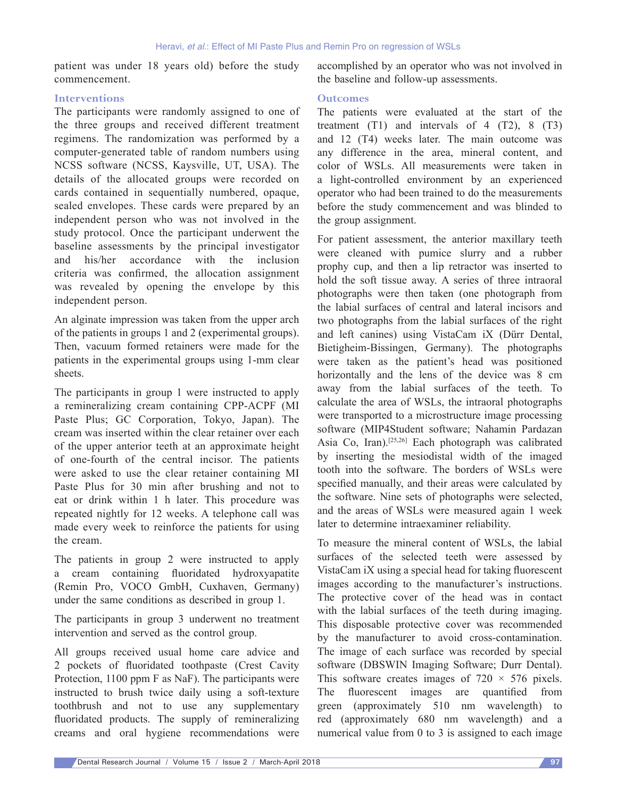patient was under 18 years old) before the study commencement.

#### **Interventions**

The participants were randomly assigned to one of the three groups and received different treatment regimens. The randomization was performed by a computer‑generated table of random numbers using NCSS software (NCSS, Kaysville, UT, USA). The details of the allocated groups were recorded on cards contained in sequentially numbered, opaque, sealed envelopes. These cards were prepared by an independent person who was not involved in the study protocol. Once the participant underwent the baseline assessments by the principal investigator and his/her accordance with the inclusion criteria was confirmed, the allocation assignment was revealed by opening the envelope by this independent person.

An alginate impression was taken from the upper arch of the patients in groups 1 and 2 (experimental groups). Then, vacuum formed retainers were made for the patients in the experimental groups using 1‑mm clear sheets.

The participants in group 1 were instructed to apply a remineralizing cream containing CPP‑ACPF (MI Paste Plus; GC Corporation, Tokyo, Japan). The cream was inserted within the clear retainer over each of the upper anterior teeth at an approximate height of one‑fourth of the central incisor. The patients were asked to use the clear retainer containing MI Paste Plus for 30 min after brushing and not to eat or drink within 1 h later. This procedure was repeated nightly for 12 weeks. A telephone call was made every week to reinforce the patients for using the cream.

The patients in group 2 were instructed to apply a cream containing fluoridated hydroxyapatite (Remin Pro, VOCO GmbH, Cuxhaven, Germany) under the same conditions as described in group 1.

The participants in group 3 underwent no treatment intervention and served as the control group.

All groups received usual home care advice and 2 pockets of fluoridated toothpaste (Crest Cavity Protection, 1100 ppm F as NaF). The participants were instructed to brush twice daily using a soft-texture toothbrush and not to use any supplementary fluoridated products. The supply of remineralizing creams and oral hygiene recommendations were accomplished by an operator who was not involved in the baseline and follow‑up assessments.

#### **Outcomes**

The patients were evaluated at the start of the treatment  $(T1)$  and intervals of 4  $(T2)$ , 8  $(T3)$ and 12 (T4) weeks later. The main outcome was any difference in the area, mineral content, and color of WSLs. All measurements were taken in a light-controlled environment by an experienced operator who had been trained to do the measurements before the study commencement and was blinded to the group assignment.

For patient assessment, the anterior maxillary teeth were cleaned with pumice slurry and a rubber prophy cup, and then a lip retractor was inserted to hold the soft tissue away. A series of three intraoral photographs were then taken (one photograph from the labial surfaces of central and lateral incisors and two photographs from the labial surfaces of the right and left canines) using VistaCam iX (Dürr Dental, Bietigheim‑Bissingen, Germany). The photographs were taken as the patient's head was positioned horizontally and the lens of the device was 8 cm away from the labial surfaces of the teeth. To calculate the area of WSLs, the intraoral photographs were transported to a microstructure image processing software (MIP4Student software; Nahamin Pardazan Asia Co, Iran).[25,26] Each photograph was calibrated by inserting the mesiodistal width of the imaged tooth into the software. The borders of WSLs were specified manually, and their areas were calculated by the software. Nine sets of photographs were selected, and the areas of WSLs were measured again 1 week later to determine intraexaminer reliability.

To measure the mineral content of WSLs, the labial surfaces of the selected teeth were assessed by VistaCam iX using a special head for taking fluorescent images according to the manufacturer's instructions. The protective cover of the head was in contact with the labial surfaces of the teeth during imaging. This disposable protective cover was recommended by the manufacturer to avoid cross-contamination. The image of each surface was recorded by special software (DBSWIN Imaging Software; Durr Dental). This software creates images of  $720 \times 576$  pixels. The fluorescent images are quantified from green (approximately 510 nm wavelength) to red (approximately 680 nm wavelength) and a numerical value from 0 to 3 is assigned to each image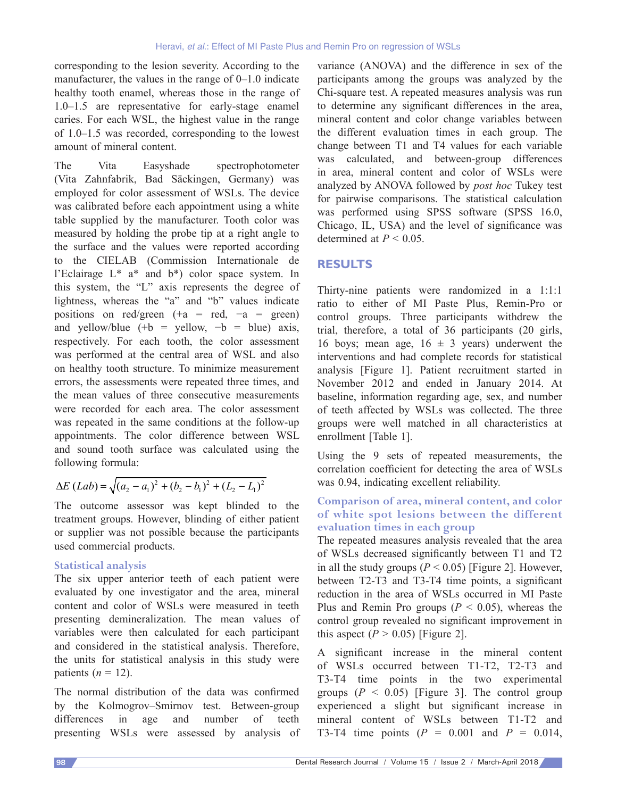corresponding to the lesion severity. According to the manufacturer, the values in the range of 0–1.0 indicate healthy tooth enamel, whereas those in the range of 1.0–1.5 are representative for early‑stage enamel caries. For each WSL, the highest value in the range of 1.0–1.5 was recorded, corresponding to the lowest amount of mineral content.

The Vita Easyshade spectrophotometer (Vita Zahnfabrik, Bad Säckingen, Germany) was employed for color assessment of WSLs. The device was calibrated before each appointment using a white table supplied by the manufacturer. Tooth color was measured by holding the probe tip at a right angle to the surface and the values were reported according to the CIELAB (Commission Internationale de l'Eclairage L\* a\* and b\*) color space system. In this system, the "L" axis represents the degree of lightness, whereas the "a" and "b" values indicate positions on red/green  $(+a = red, -a = green)$ and yellow/blue  $(+b =$  yellow,  $-b =$  blue) axis, respectively. For each tooth, the color assessment was performed at the central area of WSL and also on healthy tooth structure. To minimize measurement errors, the assessments were repeated three times, and the mean values of three consecutive measurements were recorded for each area. The color assessment was repeated in the same conditions at the follow-up appointments. The color difference between WSL and sound tooth surface was calculated using the following formula:

$$
\Delta E (Lab) = \sqrt{(a_2 - a_1)^2 + (b_2 - b_1)^2 + (L_2 - L_1)^2}
$$

The outcome assessor was kept blinded to the treatment groups. However, blinding of either patient or supplier was not possible because the participants used commercial products.

#### **Statistical analysis**

The six upper anterior teeth of each patient were evaluated by one investigator and the area, mineral content and color of WSLs were measured in teeth presenting demineralization. The mean values of variables were then calculated for each participant and considered in the statistical analysis. Therefore, the units for statistical analysis in this study were patients  $(n = 12)$ .

The normal distribution of the data was confirmed by the Kolmogrov–Smirnov test. Between‑group differences in age and number of teeth presenting WSLs were assessed by analysis of variance (ANOVA) and the difference in sex of the participants among the groups was analyzed by the Chi‑square test. A repeated measures analysis was run to determine any significant differences in the area, mineral content and color change variables between the different evaluation times in each group. The change between T1 and T4 values for each variable was calculated, and between-group differences in area, mineral content and color of WSLs were analyzed by ANOVA followed by *post hoc* Tukey test for pairwise comparisons. The statistical calculation was performed using SPSS software (SPSS 16.0, Chicago, IL, USA) and the level of significance was determined at  $P < 0.05$ .

## **RESULTS**

Thirty-nine patients were randomized in a 1:1:1 ratio to either of MI Paste Plus, Remin‑Pro or control groups. Three participants withdrew the trial, therefore, a total of 36 participants (20 girls, 16 boys; mean age,  $16 \pm 3$  years) underwent the interventions and had complete records for statistical analysis [Figure 1]. Patient recruitment started in November 2012 and ended in January 2014. At baseline, information regarding age, sex, and number of teeth affected by WSLs was collected. The three groups were well matched in all characteristics at enrollment [Table 1].

Using the 9 sets of repeated measurements, the correlation coefficient for detecting the area of WSLs was 0.94, indicating excellent reliability.

## **Comparison of area, mineral content, and color of white spot lesions between the different evaluation times in each group**

The repeated measures analysis revealed that the area of WSLs decreased significantly between T1 and T2 in all the study groups ( $P \le 0.05$ ) [Figure 2]. However, between T2-T3 and T3-T4 time points, a significant reduction in the area of WSLs occurred in MI Paste Plus and Remin Pro groups  $(P < 0.05)$ , whereas the control group revealed no significant improvement in this aspect  $(P > 0.05)$  [Figure 2].

A significant increase in the mineral content of WSLs occurred between T1‑T2, T2‑T3 and T3‑T4 time points in the two experimental groups  $(P < 0.05)$  [Figure 3]. The control group experienced a slight but significant increase in mineral content of WSLs between T1‑T2 and T3‑T4 time points (*P* = 0.001 and *P* = 0.014,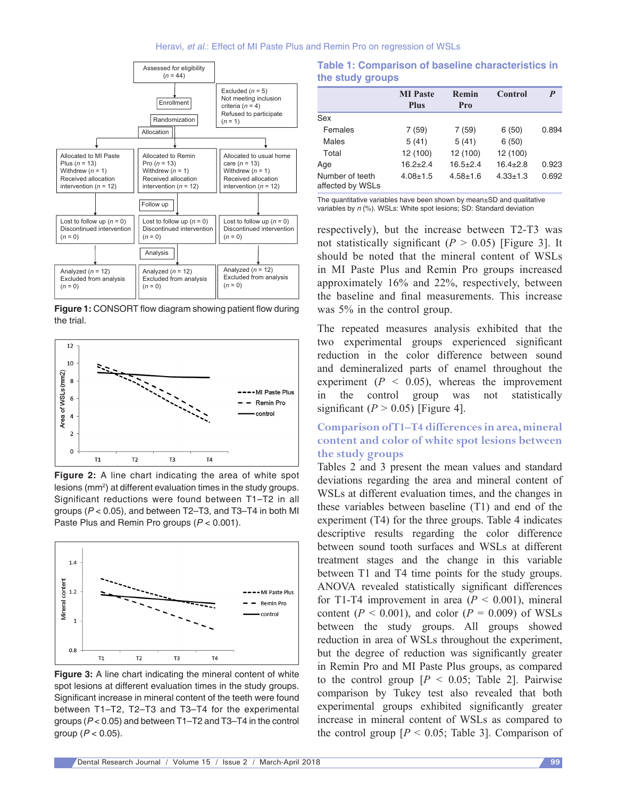

**Figure 1:** CONSORT flow diagram showing patient flow during the trial.



**Figure 2:** A line chart indicating the area of white spot lesions (mm2 ) at different evaluation times in the study groups. Significant reductions were found between T1–T2 in all groups (*P* < 0.05), and between T2–T3, and T3–T4 in both MI Paste Plus and Remin Pro groups (*P* < 0.001).



**Figure 3:** A line chart indicating the mineral content of white spot lesions at different evaluation times in the study groups. Significant increase in mineral content of the teeth were found between T1–T2, T2–T3 and T3–T4 for the experimental groups (*P* < 0.05) and between T1–T2 and T3–T4 in the control group (*P* < 0.05).

**Table 1: Comparison of baseline characteristics in the study groups**

|                                     | <b>MI</b> Paste<br><b>Plus</b> | Remin<br>Pro | Control        | P     |
|-------------------------------------|--------------------------------|--------------|----------------|-------|
| Sex                                 |                                |              |                |       |
| Females                             | 7(59)                          | 7 (59)       | 6(50)          | 0.894 |
| Males                               | 5(41)                          | 5(41)        | 6(50)          |       |
| Total                               | 12 (100)                       | 12 (100)     | 12 (100)       |       |
| Age                                 | $16.2 + 2.4$                   | $16.5 + 2.4$ | $16.4 + 2.8$   | 0.923 |
| Number of teeth<br>affected by WSLs | $4.08 + 1.5$                   | $4.58 + 1.6$ | $4.33 \pm 1.3$ | 0.692 |

The quantitative variables have been shown by mean±SD and qualitative variables by *n* (%). WSLs: White spot lesions; SD: Standard deviation

respectively), but the increase between T2‑T3 was not statistically significant  $(P > 0.05)$  [Figure 3]. It should be noted that the mineral content of WSLs in MI Paste Plus and Remin Pro groups increased approximately 16% and 22%, respectively, between the baseline and final measurements. This increase was 5% in the control group.

The repeated measures analysis exhibited that the two experimental groups experienced significant reduction in the color difference between sound and demineralized parts of enamel throughout the experiment  $(P < 0.05)$ , whereas the improvement in the control group was not statistically significant  $(P > 0.05)$  [Figure 4].

## **Comparison of T1–T4 differences in area, mineral content and color of white spot lesions between the study groups**

Tables 2 and 3 present the mean values and standard deviations regarding the area and mineral content of WSLs at different evaluation times, and the changes in these variables between baseline (T1) and end of the experiment (T4) for the three groups. Table 4 indicates descriptive results regarding the color difference between sound tooth surfaces and WSLs at different treatment stages and the change in this variable between T1 and T4 time points for the study groups. ANOVA revealed statistically significant differences for T1-T4 improvement in area  $(P < 0.001)$ , mineral content ( $P < 0.001$ ), and color ( $P = 0.009$ ) of WSLs between the study groups. All groups showed reduction in area of WSLs throughout the experiment, but the degree of reduction was significantly greater in Remin Pro and MI Paste Plus groups, as compared to the control group  $[P \le 0.05]$ ; Table 2]. Pairwise comparison by Tukey test also revealed that both experimental groups exhibited significantly greater increase in mineral content of WSLs as compared to the control group  $[P \le 0.05]$ ; Table 3. Comparison of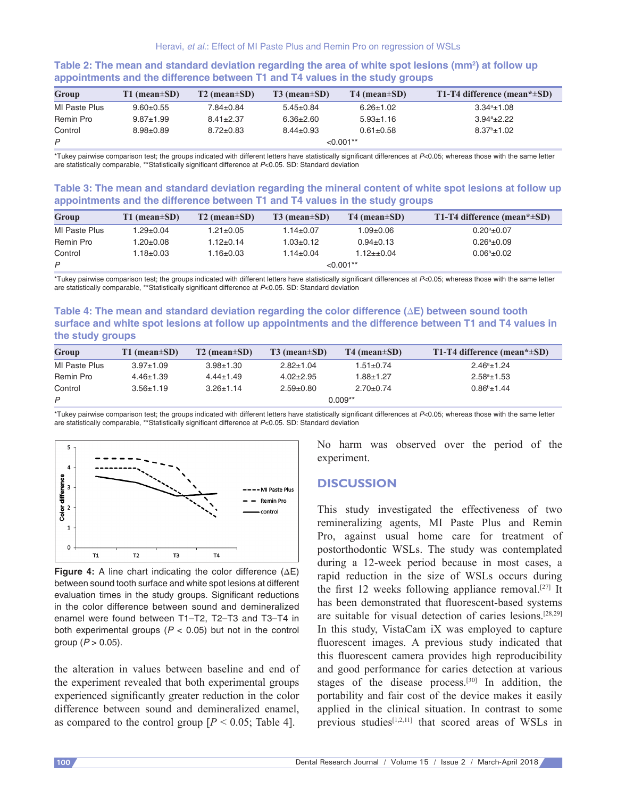| Group         | $T1$ (mean $\pm SD$ ) | $T2$ (mean $\pm SD$ ) | $T3$ (mean $\pm SD$ ) | $T4$ (mean $\pm SD$ ) | T1-T4 difference (mean* $\pm SD$ ) |
|---------------|-----------------------|-----------------------|-----------------------|-----------------------|------------------------------------|
| MI Paste Plus | $9.60 + 0.55$         | $7.84 \pm 0.84$       | $5.45 \pm 0.84$       | $6.26 \pm 1.02$       | $3.34^a \pm 1.08$                  |
| Remin Pro     | $9.87 + 1.99$         | $8.41 \pm 2.37$       | $6.36 \pm 2.60$       | $5.93 \pm 1.16$       | $3.94^a \pm 2.22$                  |
| Control       | $8.98 + 0.89$         | $8.72 + 0.83$         | $8.44 \pm 0.93$       | $0.61 \pm 0.58$       | $8.37^{\circ}$ ±1.02               |
| P             |                       | ${<}0.001**$          |                       |                       |                                    |

#### **Table 2: The mean and standard deviation regarding the area of white spot lesions (mm<sup>2</sup> ) at follow up appointments and the difference between T1 and T4 values in the study groups**

\*Tukey pairwise comparison test; the groups indicated with different letters have statistically significant differences at *P*<0.05; whereas those with the same letter are statistically comparable, \*\*Statistically significant difference at *P*<0.05. SD: Standard deviation

#### **Table 3: The mean and standard deviation regarding the mineral content of white spot lesions at follow up appointments and the difference between T1 and T4 values in the study groups**

| Group                | $T1$ (mean $\pm SD$ ) | $T2$ (mean $\pm SD$ ) | $T3$ (mean $\pm SD$ ) | $T4$ (mean $\pm SD$ ) | T1-T4 difference (mean* $\pm SD$ ) |
|----------------------|-----------------------|-----------------------|-----------------------|-----------------------|------------------------------------|
| <b>MI Paste Plus</b> | l.29±0.04             | 1.21±0.05             | $1.14{\pm}0.07$       | $1.09 \pm 0.06$       | $0.20^a \pm 0.07$                  |
| Remin Pro            | $1.20{\pm}0.08$       | $1.12 + 0.14$         | 1.03±0.12             | $0.94 \pm 0.13$       | $0.26^a \pm 0.09$                  |
| Control              | $1.18{\pm}0.03$       | 1.16±0.03             | $1.14 \pm 0.04$       | 1.12±±0.04            | $0.06^{\rm b}$ ±0.02               |
| P                    |                       | $< 0.001**$           |                       |                       |                                    |

\*Tukey pairwise comparison test; the groups indicated with different letters have statistically significant differences at *P*<0.05; whereas those with the same letter are statistically comparable, \*\*Statistically significant difference at *P*<0.05. SD: Standard deviation

#### **Table 4: The mean and standard deviation regarding the color difference (ΔE) between sound tooth surface and white spot lesions at follow up appointments and the difference between T1 and T4 values in the study groups**

| Group         | $T1$ (mean $\pm SD$ ) | $T2$ (mean $\pm SD$ ) | $T3$ (mean $\pm SD$ ) | $T4$ (mean $\pm SD$ ) | T1-T4 difference (mean* $\pm SD$ ) |
|---------------|-----------------------|-----------------------|-----------------------|-----------------------|------------------------------------|
| MI Paste Plus | $3.97 \pm 1.09$       | $3.98 + 1.30$         | $2.82 \pm 1.04$       | 1.51±0.74             | $2.46^a \pm 1.24$                  |
| Remin Pro     | $4.46 \pm 1.39$       | $4.44 \pm 1.49$       | $4.02 \pm 2.95$       | $1.88{\pm}1.27$       | $2.58^a \pm 1.53$                  |
| Control       | $3.56 \pm 1.19$       | $3.26 \pm 1.14$       | $2.59 + 0.80$         | $2.70 \pm 0.74$       | $0.86^{\rm b}$ ±1.44               |
| P             | $0.009**$             |                       |                       |                       |                                    |

\*Tukey pairwise comparison test; the groups indicated with different letters have statistically significant differences at *P*<0.05; whereas those with the same letter are statistically comparable, \*\*Statistically significant difference at *P*<0.05. SD: Standard deviation



**Figure 4:** A line chart indicating the color difference (∆E) between sound tooth surface and white spot lesions at different evaluation times in the study groups. Significant reductions in the color difference between sound and demineralized enamel were found between T1–T2, T2–T3 and T3–T4 in both experimental groups  $(P < 0.05)$  but not in the control group (*P* > 0.05).

the alteration in values between baseline and end of the experiment revealed that both experimental groups experienced significantly greater reduction in the color difference between sound and demineralized enamel, as compared to the control group  $[P \le 0.05]$ ; Table 4].

No harm was observed over the period of the experiment.

#### **DISCUSSION**

This study investigated the effectiveness of two remineralizing agents, MI Paste Plus and Remin Pro, against usual home care for treatment of postorthodontic WSLs. The study was contemplated during a 12‑week period because in most cases, a rapid reduction in the size of WSLs occurs during the first 12 weeks following appliance removal.<sup>[27]</sup> It has been demonstrated that fluorescent-based systems are suitable for visual detection of caries lesions.[28,29] In this study, VistaCam iX was employed to capture fluorescent images. A previous study indicated that this fluorescent camera provides high reproducibility and good performance for caries detection at various stages of the disease process.<sup>[30]</sup> In addition, the portability and fair cost of the device makes it easily applied in the clinical situation. In contrast to some previous studies $[1,2,11]$  that scored areas of WSLs in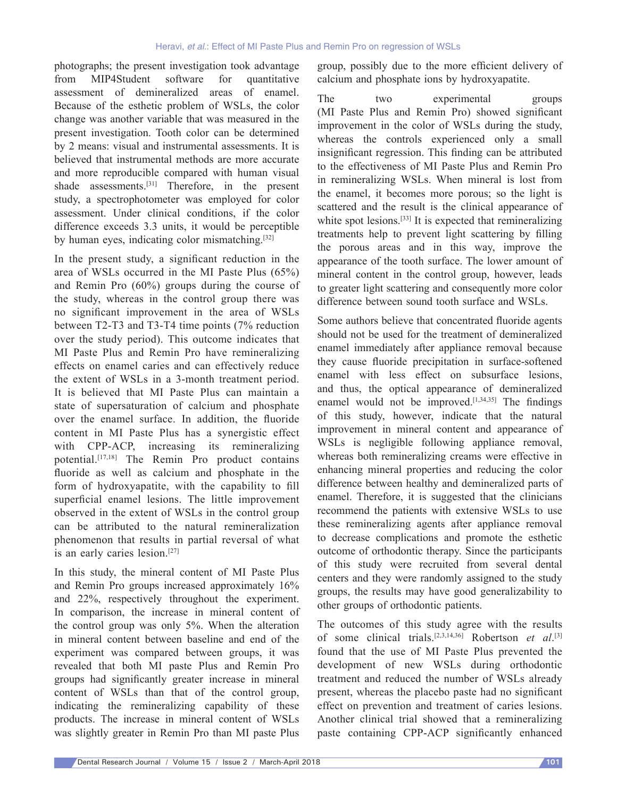photographs; the present investigation took advantage from MIP4Student software for quantitative assessment of demineralized areas of enamel. Because of the esthetic problem of WSLs, the color change was another variable that was measured in the present investigation. Tooth color can be determined by 2 means: visual and instrumental assessments. It is believed that instrumental methods are more accurate and more reproducible compared with human visual shade assessments.<sup>[31]</sup> Therefore, in the present study, a spectrophotometer was employed for color assessment. Under clinical conditions, if the color difference exceeds 3.3 units, it would be perceptible by human eyes, indicating color mismatching.[32]

In the present study, a significant reduction in the area of WSLs occurred in the MI Paste Plus (65%) and Remin Pro (60%) groups during the course of the study, whereas in the control group there was no significant improvement in the area of WSLs between T2‑T3 and T3‑T4 time points (7% reduction over the study period). This outcome indicates that MI Paste Plus and Remin Pro have remineralizing effects on enamel caries and can effectively reduce the extent of WSLs in a 3‑month treatment period. It is believed that MI Paste Plus can maintain a state of supersaturation of calcium and phosphate over the enamel surface. In addition, the fluoride content in MI Paste Plus has a synergistic effect with CPP-ACP, increasing its remineralizing potential.[17,18] The Remin Pro product contains fluoride as well as calcium and phosphate in the form of hydroxyapatite, with the capability to fill superficial enamel lesions. The little improvement observed in the extent of WSLs in the control group can be attributed to the natural remineralization phenomenon that results in partial reversal of what is an early caries lesion.[27]

In this study, the mineral content of MI Paste Plus and Remin Pro groups increased approximately 16% and 22%, respectively throughout the experiment. In comparison, the increase in mineral content of the control group was only 5%. When the alteration in mineral content between baseline and end of the experiment was compared between groups, it was revealed that both MI paste Plus and Remin Pro groups had significantly greater increase in mineral content of WSLs than that of the control group, indicating the remineralizing capability of these products. The increase in mineral content of WSLs was slightly greater in Remin Pro than MI paste Plus

group, possibly due to the more efficient delivery of calcium and phosphate ions by hydroxyapatite.

The two experimental groups (MI Paste Plus and Remin Pro) showed significant improvement in the color of WSLs during the study, whereas the controls experienced only a small insignificant regression. This finding can be attributed to the effectiveness of MI Paste Plus and Remin Pro in remineralizing WSLs. When mineral is lost from the enamel, it becomes more porous; so the light is scattered and the result is the clinical appearance of white spot lesions.<sup>[33]</sup> It is expected that remineralizing treatments help to prevent light scattering by filling the porous areas and in this way, improve the appearance of the tooth surface. The lower amount of mineral content in the control group, however, leads to greater light scattering and consequently more color difference between sound tooth surface and WSLs.

Some authors believe that concentrated fluoride agents should not be used for the treatment of demineralized enamel immediately after appliance removal because they cause fluoride precipitation in surface-softened enamel with less effect on subsurface lesions, and thus, the optical appearance of demineralized enamel would not be improved. $[1,34,35]$  The findings of this study, however, indicate that the natural improvement in mineral content and appearance of WSLs is negligible following appliance removal, whereas both remineralizing creams were effective in enhancing mineral properties and reducing the color difference between healthy and demineralized parts of enamel. Therefore, it is suggested that the clinicians recommend the patients with extensive WSLs to use these remineralizing agents after appliance removal to decrease complications and promote the esthetic outcome of orthodontic therapy. Since the participants of this study were recruited from several dental centers and they were randomly assigned to the study groups, the results may have good generalizability to other groups of orthodontic patients.

The outcomes of this study agree with the results of some clinical trials.[2,3,14,36] Robertson *et al*. [3] found that the use of MI Paste Plus prevented the development of new WSLs during orthodontic treatment and reduced the number of WSLs already present, whereas the placebo paste had no significant effect on prevention and treatment of caries lesions. Another clinical trial showed that a remineralizing paste containing CPP‑ACP significantly enhanced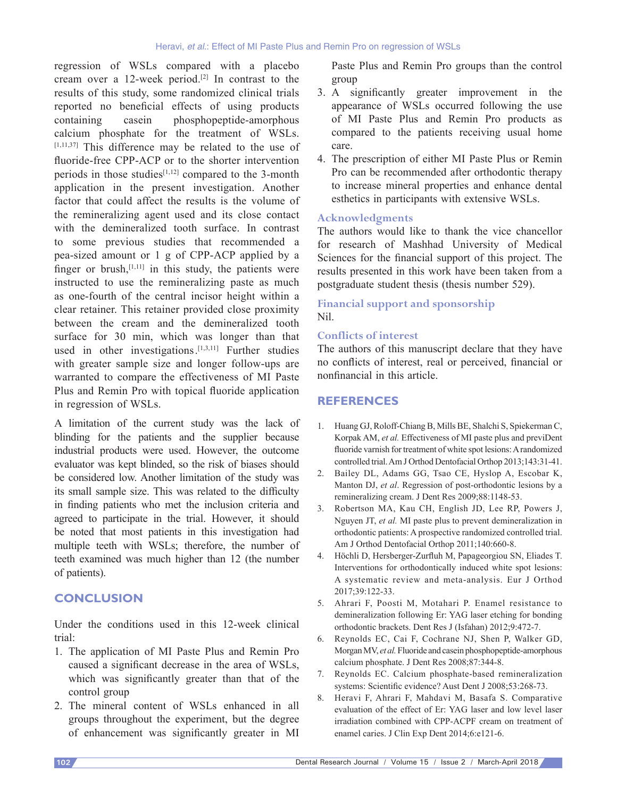regression of WSLs compared with a placebo cream over a 12‑week period.[2] In contrast to the results of this study, some randomized clinical trials reported no beneficial effects of using products containing casein phosphopeptide-amorphous calcium phosphate for the treatment of WSLs.  $[1,11,37]$  This difference may be related to the use of fluoride-free CPP-ACP or to the shorter intervention periods in those studies $[1,12]$  compared to the 3-month application in the present investigation. Another factor that could affect the results is the volume of the remineralizing agent used and its close contact with the demineralized tooth surface. In contrast to some previous studies that recommended a pea‑sized amount or 1 g of CPP‑ACP applied by a finger or brush, $[1,11]$  in this study, the patients were instructed to use the remineralizing paste as much as one‑fourth of the central incisor height within a clear retainer. This retainer provided close proximity between the cream and the demineralized tooth surface for 30 min, which was longer than that used in other investigations<sup>[1,3,11]</sup> Further studies with greater sample size and longer follow-ups are warranted to compare the effectiveness of MI Paste Plus and Remin Pro with topical fluoride application in regression of WSLs.

A limitation of the current study was the lack of blinding for the patients and the supplier because industrial products were used. However, the outcome evaluator was kept blinded, so the risk of biases should be considered low. Another limitation of the study was its small sample size. This was related to the difficulty in finding patients who met the inclusion criteria and agreed to participate in the trial. However, it should be noted that most patients in this investigation had multiple teeth with WSLs; therefore, the number of teeth examined was much higher than 12 (the number of patients).

## **CONCLUSION**

Under the conditions used in this 12‑week clinical trial:

- 1. The application of MI Paste Plus and Remin Pro caused a significant decrease in the area of WSLs, which was significantly greater than that of the control group
- 2. The mineral content of WSLs enhanced in all groups throughout the experiment, but the degree of enhancement was significantly greater in MI

Paste Plus and Remin Pro groups than the control group

- 3. A significantly greater improvement in the appearance of WSLs occurred following the use of MI Paste Plus and Remin Pro products as compared to the patients receiving usual home care.
- 4. The prescription of either MI Paste Plus or Remin Pro can be recommended after orthodontic therapy to increase mineral properties and enhance dental esthetics in participants with extensive WSLs.

#### **Acknowledgments**

The authors would like to thank the vice chancellor for research of Mashhad University of Medical Sciences for the financial support of this project. The results presented in this work have been taken from a postgraduate student thesis (thesis number 529).

## **Financial support and sponsorship** Nil.

#### **Conflicts of interest**

The authors of this manuscript declare that they have no conflicts of interest, real or perceived, financial or nonfinancial in this article.

## **REFERENCES**

- 1. Huang GJ, Roloff‑Chiang B, Mills BE, Shalchi S, Spiekerman C, Korpak AM, *et al.* Effectiveness of MI paste plus and previDent fluoride varnish for treatment of white spot lesions: Arandomized controlled trial. Am J Orthod Dentofacial Orthop 2013;143:31-41.
- 2. Bailey DL, Adams GG, Tsao CE, Hyslop A, Escobar K, Manton DJ, et al. Regression of post-orthodontic lesions by a remineralizing cream. J Dent Res 2009;88:1148‑53.
- 3. Robertson MA, Kau CH, English JD, Lee RP, Powers J, Nguyen JT, *et al.* MI paste plus to prevent demineralization in orthodontic patients: A prospective randomized controlled trial. Am J Orthod Dentofacial Orthop 2011;140:660-8.
- 4. Höchli D, Hersberger‑Zurfluh M, Papageorgiou SN, Eliades T. Interventions for orthodontically induced white spot lesions: A systematic review and meta‑analysis. Eur J Orthod 2017;39:122‑33.
- 5. Ahrari F, Poosti M, Motahari P. Enamel resistance to demineralization following Er: YAG laser etching for bonding orthodontic brackets. Dent Res J (Isfahan) 2012;9:472‑7.
- 6. Reynolds EC, Cai F, Cochrane NJ, Shen P, Walker GD, Morgan MV, *et al.* Fluoride and casein phosphopeptide-amorphous calcium phosphate. J Dent Res 2008;87:344‑8.
- 7. Reynolds EC. Calcium phosphate-based remineralization systems: Scientific evidence? Aust Dent J 2008;53:268-73.
- 8. Heravi F, Ahrari F, Mahdavi M, Basafa S. Comparative evaluation of the effect of Er: YAG laser and low level laser irradiation combined with CPP‑ACPF cream on treatment of enamel caries. J Clin Exp Dent 2014;6:e121-6.